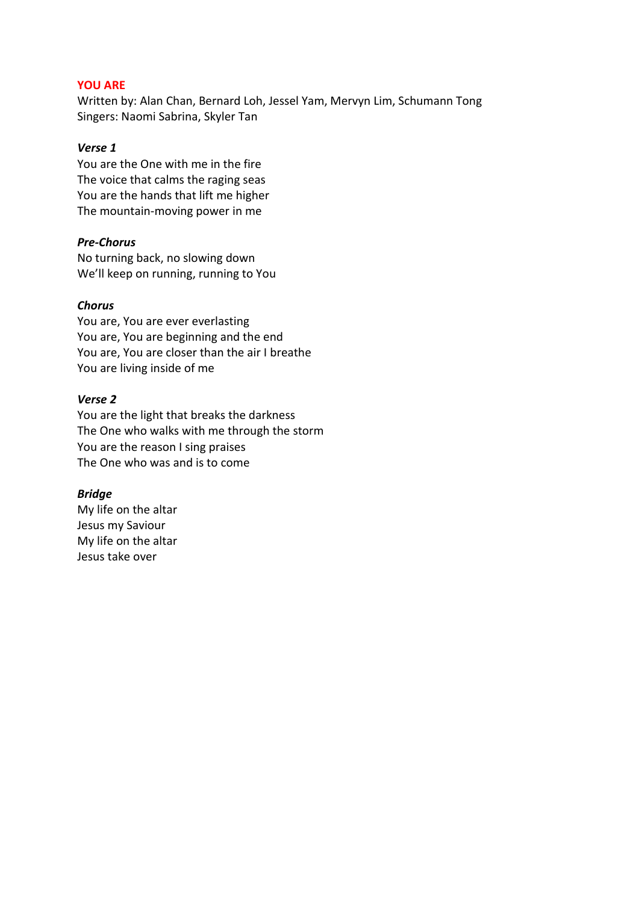## **YOU ARE**

Written by: Alan Chan, Bernard Loh, Jessel Yam, Mervyn Lim, Schumann Tong Singers: Naomi Sabrina, Skyler Tan

## *Verse 1*

You are the One with me in the fire The voice that calms the raging seas You are the hands that lift me higher The mountain-moving power in me

## *Pre-Chorus*

No turning back, no slowing down We'll keep on running, running to You

## *Chorus*

You are, You are ever everlasting You are, You are beginning and the end You are, You are closer than the air I breathe You are living inside of me

#### *Verse 2*

You are the light that breaks the darkness The One who walks with me through the storm You are the reason I sing praises The One who was and is to come

## *Bridge*

My life on the altar Jesus my Saviour My life on the altar Jesus take over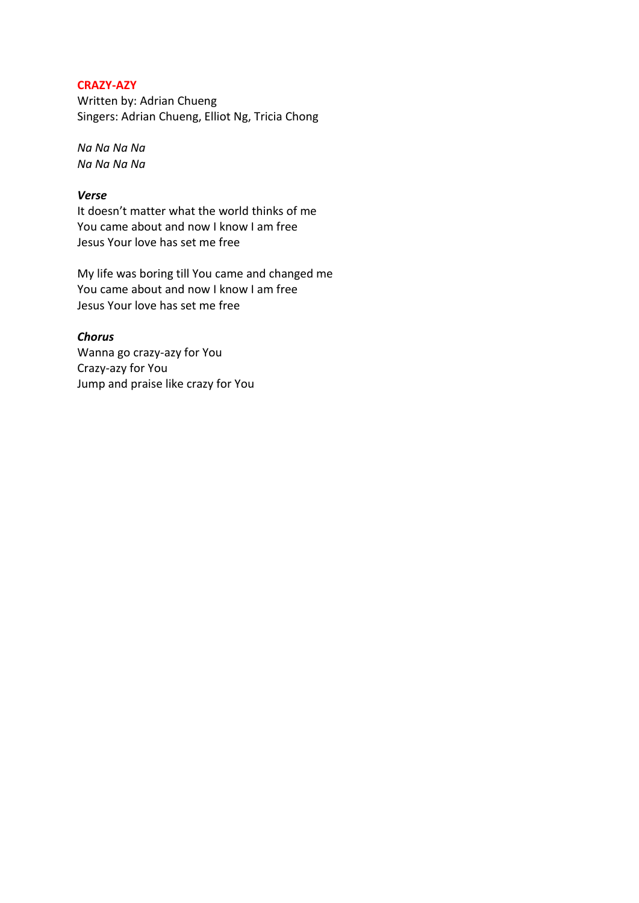# **CRAZY-AZY**

Written by: Adrian Chueng Singers: Adrian Chueng, Elliot Ng, Tricia Chong

*Na Na Na Na Na Na Na Na*

# *Verse*

It doesn't matter what the world thinks of me You came about and now I know I am free Jesus Your love has set me free

My life was boring till You came and changed me You came about and now I know I am free Jesus Your love has set me free

*Chorus* Wanna go crazy-azy for You Crazy-azy for You Jump and praise like crazy for You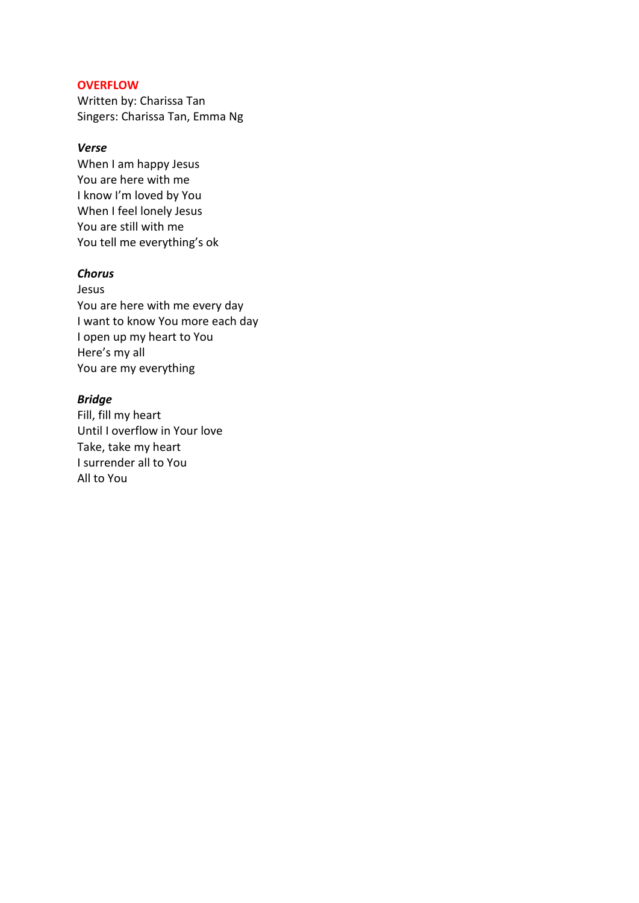## **OVERFLOW**

Written by: Charissa Tan Singers: Charissa Tan, Emma Ng

# *Verse*

When I am happy Jesus You are here with me I know I'm loved by You When I feel lonely Jesus You are still with me You tell me everything's ok

## *Chorus*

Jesus You are here with me every day I want to know You more each day I open up my heart to You Here's my all You are my everything

# *Bridge*

Fill, fill my heart Until I overflow in Your love Take, take my heart I surrender all to You All to You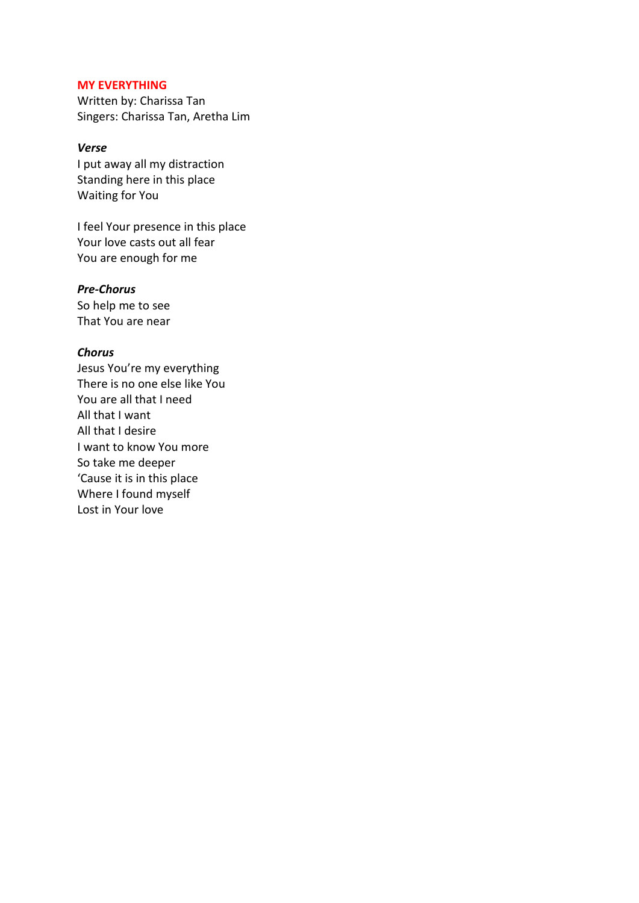#### **MY EVERYTHING**

Written by: Charissa Tan Singers: Charissa Tan, Aretha Lim

# *Verse*

I put away all my distraction Standing here in this place Waiting for You

I feel Your presence in this place Your love casts out all fear You are enough for me

## *Pre-Chorus*

So help me to see That You are near

#### *Chorus*

Jesus You're my everything There is no one else like You You are all that I need All that I want All that I desire I want to know You more So take me deeper 'Cause it is in this place Where I found myself Lost in Your love